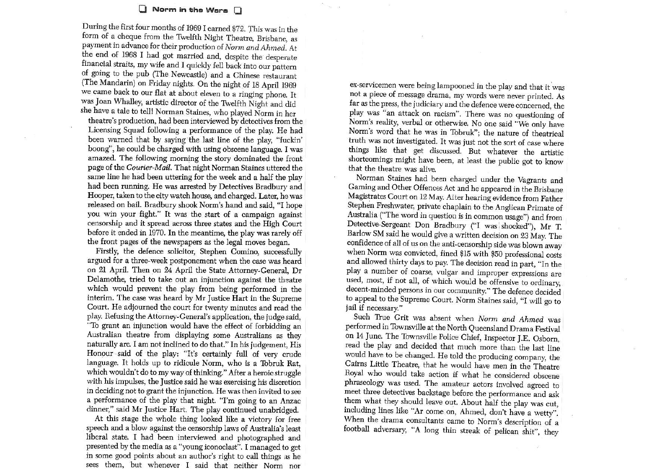## Norm in the Wars D

During the first four months of 1969 I earned \$72. This was in the form of a cheque from the Twelfth Night Theatre, Brisbane, as payment in advance for their production of Norm and Ahmed. At the end of 1968 I had got married and, despite the desperate financial straits, my wife and I quickly fell back into our pattern of going to the pub (The Newcastle) and a Chinese restaurant (The Mandarin) on Friday nights. On the night of 18 April 1969 we came back to our flat at about eleven to a ringing phone. It was Joan Whalley, artistic director of the Twelfth Night and did she have a tale to tell! Norman Staines, who played Norm in her

theatre's production, had been interviewed by detectives from the Licensing Squad following a performance of the play. He had been warned that by saying the last line of the play, "fuckin' boong", he could be charged with using obscene language. I was amazed. The following morning the story dominated the front page of the Courier-Mail. That night Norman Staines uttered the same line he had been uttering for the week and a half the play had been running. He was arrested by Detectives Bradbury and Hooper, taken to the city watch house, and charged. Later, he was released on bail. Bradbury shook Norm's hand and said, "I hope you win your fight." It was the start of a campaign against censorship and it spread across three states and the High Court before it ended in 1970. In the meantime, the play was rarely off the front pages of the newspapers as the legal moves began.

Firstly, the defence solicitor, Stephen Comino, successfully argued for a three-week postponement when the case was heard on 21 April. Then on 24 April the State Attorney-General, Dr Delamothe, tried to take out an injunction against the theatre which would prevent the play from being performed in the interim. The case was heard by Mr Justice Hart in the Supreme Court. He adjourned the court for twenty minutes and read the play. Refusing the Attorney-General's application, the judge said, "To grant an injunction would have the effect of forbidding an Australian theatre from displaying some Australians as they naturally are. I am not inclined to do that." In his judgement, His Honour said of the play: "It's certainly full of very crude language. It holds up to ridicule Norm, who is a Tobruk Rat, which wouldn't do to my way of thinking." After a heroic struggle with his impulses, the Justice said he was exercising his discretion in deciding not to grant the injunction. He was then invited to see a performance of the play that night. "I'm going to an Anzac dinner," said Mr Justice Hart. The play continued unabridged.

At this stage the whole thing looked like a victory for free speech and a blow against the censorship laws of Australia's least liberal state. I had been interviewed and photographed and presented by the media as a "young iconoclast". I managed to get in some good points about an author's right to call things as he sees them, but whenever I said that neither Norm nor

ex-servicemen were being lampooned in the play and that it was not a piece of message drama, my words were never printed. As far as the press, the judiciary and the defence were concerned, the play was "an attack on racism". There was no questioning of Norm's reality, verbal or otherwise. No one said "We only have Norm's word that he was in Tobruk"; the nature of theatrical truth was not investigated. It was just not the sort of case where things like that get discussed. But whatever the artistic shortcomings might have been, at least the public got to know that the theatre was alive.

Norman Staines had been charged under the Vagrants and Gaming and Other Offences Act and he appeared in the Brisbane Magistrates Court on 12 May. After hearing evidence from Father Stephen Freshwater, private chaplain to the Anglican Primate of Australia ("The word in question is in common usage") and from Detective-Sergeant Don Bradbury ("I was shocked"), Mr T. Barlow SM said he would give a written decision on 23 May. The confidence of all of us on the anti-censorship side was blown away when Norm was convicted, fined \$15 with \$50 professional costs and allowed thirty days to pay. The decision read in part, "In the play a number of coarse, vulgar and improper expressions are used, most, if not all, of which would be offensive to ordinary, decent-minded persons in our community." The defence decided to appeal to the Supreme Court. Norm Staines said, "I will go to jail if necessary."

Such True Grit was absent when Norm and Ahmed was performed in Townsville at the North Queensland Drama Festival on 14 June. The Townsville Police Chief, Inspector J.E. Osborn, read the play and decided that much more than the last line would have to be changed. He told the producing company, the Cairns Little Theatre, that he would have men in the Theatre Royal who would take action if what he considered obscene phraseology was used. The amateur actors involved agreed to meet three detectives backstage before the performance and ask them what they should leave out. About half the play was cut, including lines like "Ar come on, Ahmed, don't have a wetty". When the drama consultants came to Norm's description of a football adversary, "A long thin streak of pelican shit", they